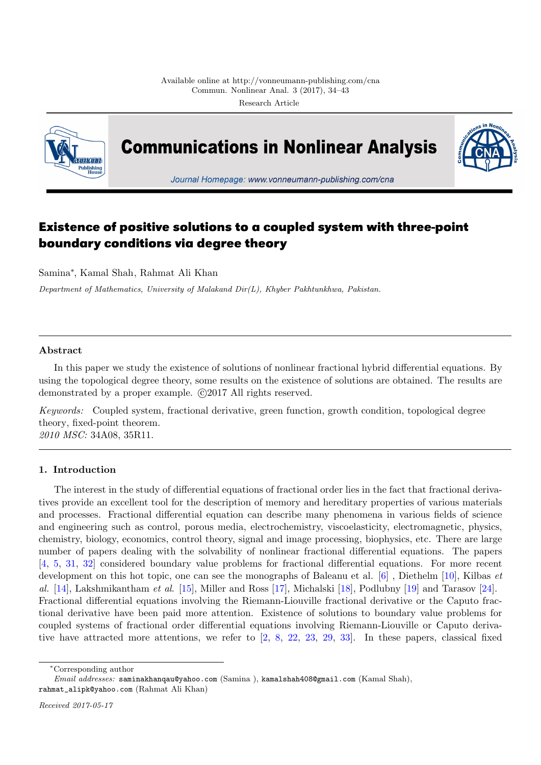

**Communications in Nonlinear Analysis** 



Journal Homepage: www.vonneumann-publishing.com/cna

# **Existence of positive solutions to a coupled system with three-point boundary conditions via degree theory**

Samina*∗* , Kamal Shah, Rahmat Ali Khan

*Department of Mathematics, University of Malakand Dir(L), Khyber Pakhtunkhwa, Pakistan.*

## **Abstract**

In this paper we study the existence of solutions of nonlinear fractional hybrid differential equations. By using the topological degree theory, some results on the existence of solutions are obtained. The results are demonstrated by a proper example.  $\odot$ 2017 All rights reserved.

*Keywords:* Coupled system, fractional derivative, green function, growth condition, topological degree theory, fixed-point theorem. *2010 MSC:* 34A08, 35R11.

## **1. Introduction**

<span id="page-0-0"></span>The interest in the study of differential equations of fractional order lies in the fact that fractional derivatives provide an excellent tool for the description of memory and hereditary properties of various materials and processes. Fractional differential equation can describe many phenomena in various fields of science and engineering such as control, porous media, electrochemistry, viscoelasticity, electromagnetic, physics, chemistry, biology, economics, control theory, signal and image processing, biophysics, etc. There are large number of papers dealing with the solvability of nonlinear fractional differential equations. The papers [4, 5, 31, 32] considered boundary value problems for fractional differential equations. For more recent development on this hot topic, one can see the monographs of Baleanu et al. [6] , Diethelm [10], Kilbas *et al.* [14], Lakshmikantham *et al*. [15], Miller and Ross [17], Michalski [18], Podlubny [19] and Tarasov [24]. Fractional differential equations involving the Riemann-Liouville fractional derivative or the Caputo frac[tio](#page-8-0)[na](#page-8-1)l [de](#page-9-0)r[iva](#page-9-1)tive have been paid more attention. Existence of solutions to boundary value problems for coupled systems of fractional order differential equations involving Riemann[-L](#page-8-2)iouville or C[apu](#page-8-3)to derivative [ha](#page-8-4)ve attracted more attent[ion](#page-8-5)s, we refer to [2, [8,](#page-9-2) 22, 23, 29, [33\]](#page-9-3). In these [pap](#page-9-4)ers, classical [fix](#page-9-5)ed

*<sup>∗</sup>*Corresponding author

*Email addresses:* saminakhanqau@yahoo.com (Samina ), [ka](#page-8-6)m[al](#page-8-7)s[hah](#page-9-6)4[08@](#page-9-7)g[mai](#page-9-8)l[.co](#page-9-9)m (Kamal Shah), rahmat\_alipk@yahoo.com (Rahmat Ali Khan)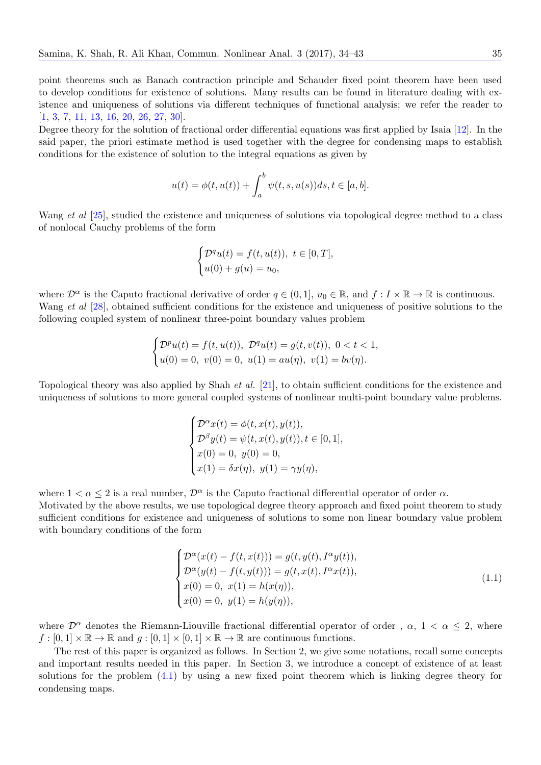point theorems such as Banach contraction principle and Schauder fixed point theorem have been used to develop conditions for existence of solutions. Many results can be found in literature dealing with existence and uniqueness of solutions via different techniques of functional analysis; we refer the reader to [1, 3, 7, 11, 13, 16, 20, 26, 27, 30].

Degree theory for the solution of fractional order differential equations was first applied by Isaia [12]. In the said paper, the priori estimate method is used together with the degree for condensing maps to establish [co](#page-8-8)[nd](#page-8-9)i[ti](#page-8-10)o[ns](#page-8-11)f[or](#page-8-12)t[he](#page-8-13)e[xis](#page-9-10)[ten](#page-9-11)c[e o](#page-9-12)f [so](#page-9-13)lution to the integral equations as given by

$$
u(t) = \phi(t, u(t)) + \int_a^b \psi(t, s, u(s))ds, t \in [a, b].
$$

Wang *et al* [25], studied the existence and uniqueness of solutions via topological degree method to a class of nonlocal Cauchy problems of the form

$$
\begin{cases} \mathcal{D}^q u(t) = f(t, u(t)), \ t \in [0, T], \\ u(0) + g(u) = u_0, \end{cases}
$$

where  $\mathcal{D}^{\alpha}$  is the Caputo fractional derivative of order  $q \in (0,1]$ ,  $u_0 \in \mathbb{R}$ , and  $f: I \times \mathbb{R} \to \mathbb{R}$  is continuous. Wang *et al* [28], obtained sufficient conditions for the existence and uniqueness of positive solutions to the following coupled system of nonlinear three-point boundary values problem

$$
\begin{cases} \mathcal{D}^p u(t) = f(t, u(t)), \ \mathcal{D}^q u(t) = g(t, v(t)), \ 0 < t < 1, \\ u(0) = 0, \ v(0) = 0, \ u(1) = au(\eta), \ v(1) = bv(\eta). \end{cases}
$$

Topological theory was also applied by Shah *et al.* [21], to obtain sufficient conditions for the existence and uniqueness of solutions to more general coupled systems of nonlinear multi-point boundary value problems.

$$
\begin{cases}\n\mathcal{D}^{\alpha}x(t) = \phi(t, x(t), y(t)), \\
\mathcal{D}^{\beta}y(t) = \psi(t, x(t), y(t)), t \in [0, 1], \\
x(0) = 0, y(0) = 0, \\
x(1) = \delta x(\eta), y(1) = \gamma y(\eta),\n\end{cases}
$$

where  $1 < \alpha < 2$  is a real number,  $\mathcal{D}^{\alpha}$  is the Caputo fractional differential operator of order  $\alpha$ . Motivated by the above results, we use topological degree theory approach and fixed point theorem to study sufficient conditions for existence and uniqueness of solutions to some non linear boundary value problem with boundary conditions of the form

$$
\begin{cases}\n\mathcal{D}^{\alpha}(x(t) - f(t, x(t))) = g(t, y(t), I^{\alpha}y(t)), \n\mathcal{D}^{\alpha}(y(t) - f(t, y(t))) = g(t, x(t), I^{\alpha}x(t)), \nx(0) = 0, x(1) = h(x(\eta)), \nx(0) = 0, y(1) = h(y(\eta)),\n\end{cases}
$$
\n(1.1)

where  $\mathcal{D}^{\alpha}$  denotes the Riemann-Liouville fractional differential operator of order,  $\alpha$ ,  $1 < \alpha \leq 2$ , where  $f : [0,1] \times \mathbb{R} \to \mathbb{R}$  and  $g : [0,1] \times [0,1] \times \mathbb{R} \to \mathbb{R}$  are continuous functions.

The rest of this paper is organized as follows. In Section 2, we give some notations, recall some concepts and important results needed in this paper. In Section 3, we introduce a concept of existence of at least solutions for the problem (4.1) by using a new fixed point theorem which is linking degree theory for condensing maps.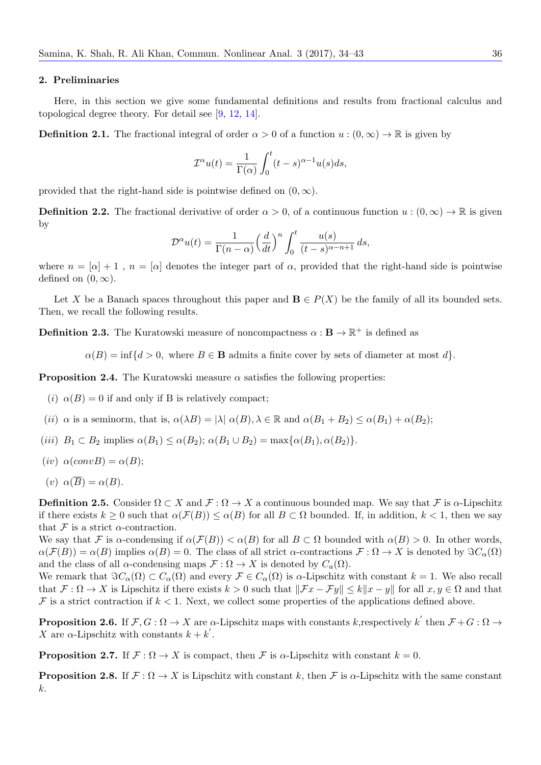## **2. Preliminaries**

Here, in this section we give some fundamental definitions and results from fractional calculus and topological degree theory. For detail see [9, 12, 14].

<span id="page-2-2"></span>**Definition 2.1.** The fractional integral of order  $\alpha > 0$  of a function  $u : (0, \infty) \to \mathbb{R}$  is given by

$$
\mathcal{I}^{\alpha}u(t) = \frac{1}{\Gamma(\alpha)} \int_0^t (t-s)^{\alpha-1} u(s) ds,
$$

provided that the right-hand side is pointwise defined on  $(0, \infty)$ .

**Definition 2.2.** The fractional derivative of order  $\alpha > 0$ , of a continuous function  $u : (0, \infty) \to \mathbb{R}$  is given by

$$
\mathcal{D}^{\alpha}u(t) = \frac{1}{\Gamma(n-\alpha)} \left(\frac{d}{dt}\right)^n \int_0^t \frac{u(s)}{(t-s)^{\alpha-n+1}} ds,
$$

where  $n = [\alpha] + 1$ ,  $n = [\alpha]$  denotes the integer part of  $\alpha$ , provided that the right-hand side is pointwise defined on  $(0, \infty)$ .

Let X be a Banach spaces throughout this paper and  $\mathbf{B} \in P(X)$  be the family of all its bounded sets. Then, we recall the following results.

**Definition 2.3.** The Kuratowski measure of noncompactness  $\alpha : \mathbf{B} \to \mathbb{R}^+$  is defined as

 $\alpha(B) = \inf \{ d > 0, \text{ where } B \in \mathbf{B} \text{ admits a finite cover by sets of diameter at most } d \}.$ 

**Proposition 2.4.** The Kuratowski measure  $\alpha$  satisfies the following properties:

- (*i*)  $\alpha(B) = 0$  if and only if B is relatively compact;
- (*ii*)  $\alpha$  is a seminorm, that is,  $\alpha(\lambda B) = |\lambda| \alpha(B), \lambda \in \mathbb{R}$  and  $\alpha(B_1 + B_2) \leq \alpha(B_1) + \alpha(B_2);$
- $(iii)$   $B_1 \subset B_2$  implies  $\alpha(B_1) \leq \alpha(B_2)$ ;  $\alpha(B_1 \cup B_2) = \max{\{\alpha(B_1), \alpha(B_2)\}}$ .
- $(iv) \alpha(convB) = \alpha(B);$
- $(v)$   $\alpha(\overline{B}) = \alpha(B)$ .

**Definition 2.5.** Consider  $\Omega \subset X$  and  $\mathcal{F} : \Omega \to X$  a continuous bounded map. We say that  $\mathcal{F}$  is  $\alpha$ -Lipschitz if there exists  $k \geq 0$  such that  $\alpha(\mathcal{F}(B)) \leq \alpha(B)$  for all  $B \subset \Omega$  bounded. If, in addition,  $k < 1$ , then we say that  $\mathcal F$  is a strict  $\alpha$ -contraction.

We say that *F* is *α*-condensing if  $\alpha(\mathcal{F}(B)) < \alpha(B)$  for all  $B \subset \Omega$  bounded with  $\alpha(B) > 0$ . In other words,  $\alpha(\mathcal{F}(B)) = \alpha(B)$  implies  $\alpha(B) = 0$ . The class of all strict *α*-contractions  $\mathcal{F}: \Omega \to X$  is denoted by  $\Im C_{\alpha}(\Omega)$ and the class of all *α*-condensing maps  $\mathcal{F}: \Omega \to X$  is denoted by  $C_a(\Omega)$ .

We remark that  $\Im C_{\alpha}(\Omega) \subset C_{\alpha}(\Omega)$  and every  $\mathcal{F} \in C_{\alpha}(\Omega)$  is  $\alpha$ -Lipschitz with constant  $k = 1$ . We also recall that  $\mathcal{F}: \Omega \to X$  is Lipschitz if there exists  $k > 0$  such that  $||\mathcal{F}x - \mathcal{F}y|| \le k||x - y||$  for all  $x, y \in \Omega$  and that  $\mathcal F$  is a strict contraction if  $k < 1$ . Next, we collect some properties of the applications defined above.

**Proposition 2.6.** If  $\mathcal{F}, G : \Omega \to X$  are  $\alpha$ -Lipschitz maps with constants *k*,respectively *k*<sup> $\prime$ </sup> then  $\mathcal{F} + G : \Omega \to Y$ *X* are  $\alpha$ -Lipschitz with constants  $k + k'$ .

<span id="page-2-1"></span>**Proposition 2.7.** If  $\mathcal{F} : \Omega \to X$  is compact, then  $\mathcal{F}$  is  $\alpha$ -Lipschitz with constant  $k = 0$ .

<span id="page-2-0"></span>**Proposition 2.8.** If  $\mathcal{F}: \Omega \to X$  is Lipschitz with constant k, then  $\mathcal{F}$  is  $\alpha$ -Lipschitz with the same constant *k*.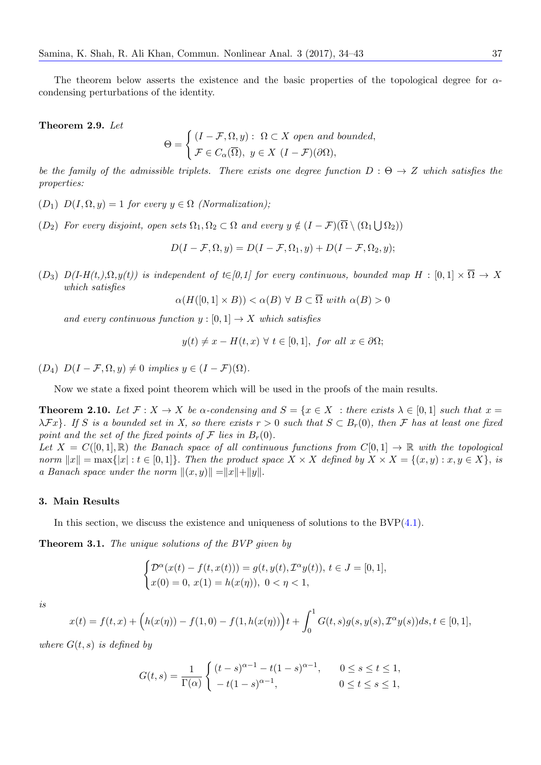The theorem below asserts the existence and the basic properties of the topological degree for *α*condensing perturbations of the identity.

**Theorem 2.9.** *Let*

$$
\Theta = \begin{cases} (I - \mathcal{F}, \Omega, y) : \ \Omega \subset X \ \text{open and bounded,} \\ \mathcal{F} \in C_{\alpha}(\overline{\Omega}), \ y \in X \ (I - \mathcal{F})(\partial \Omega), \end{cases}
$$

*be the family of the admissible triplets. There exists one degree function*  $D : \Theta \to Z$  which satisfies the *properties:*

- (*D*<sub>1</sub>)  $D(I, \Omega, y) = 1$  *for every*  $y \in \Omega$  *(Normalization);*
- $(D_2)$  *For every disjoint, open sets*  $\Omega_1, \Omega_2 \subset \Omega$  *and every*  $y \notin (I \mathcal{F})(\overline{\Omega} \setminus (\Omega_1 \cup \Omega_2))$

$$
D(I - \mathcal{F}, \Omega, y) = D(I - \mathcal{F}, \Omega_1, y) + D(I - \mathcal{F}, \Omega_2, y);
$$

 $(D_3)$   $D(I-H(t_i),\Omega,y(t))$  is independent of  $t \in [0,1]$  for every continuous, bounded map  $H : [0,1] \times \overline{\Omega} \to X$ *which satisfies*

 $\alpha(H([0,1] \times B)) < \alpha(B) \forall B \subset \overline{\Omega}$  *with*  $\alpha(B) > 0$ 

*and every continuous function*  $y : [0,1] \rightarrow X$  *which satisfies* 

$$
y(t) \neq x - H(t, x) \ \forall \ t \in [0, 1],
$$
 for all  $x \in \partial\Omega$ ;

 $(D_4)$   $D(I - \mathcal{F}, \Omega, y) \neq 0$  *implies*  $y \in (I - \mathcal{F})(\Omega)$ .

Now we state a fixed point theorem which will be used in the proofs of the main results.

**Theorem 2.10.** Let  $\mathcal{F}: X \to X$  be a-condensing and  $S = \{x \in X : \text{there exists } \lambda \in [0,1] \text{ such that } x =$  $\lambda$ *Fx*}*. If S* is a bounded set in X, so there exists  $r > 0$  such that  $S \subset B_r(0)$ , then *F* has at least one fixed *point and the set of the fixed points of*  $\mathcal F$  *lies in*  $B_r(0)$ *.* 

*Let*  $X = C([0,1], \mathbb{R})$  *the Banach space of all continuous functions from*  $C[0,1] \rightarrow \mathbb{R}$  *with the topological* norm  $||x|| = \max{ |x| : t \in [0,1] }$ . Then the product space  $X \times X$  defined by  $X \times X = \{(x,y) : x, y \in X \}$ , is *a Banach space under the norm*  $||(x, y)|| = ||x|| + ||y||$ .

#### **3. Main Results**

In this section, we discuss the existence and uniqueness of solutions to the  $BVP(4.1)$ .

**Theorem 3.1.** *The unique solutions of the BVP given by*

$$
\begin{cases} \mathcal{D}^{\alpha}(x(t) - f(t, x(t))) = g(t, y(t), \mathcal{I}^{\alpha}y(t)), t \in J = [0, 1], \\ x(0) = 0, x(1) = h(x(\eta)), 0 < \eta < 1, \end{cases}
$$

<span id="page-3-0"></span>*is*

$$
x(t) = f(t, x) + \left( h(x(\eta)) - f(1, 0) - f(1, h(x(\eta))) \right) t + \int_0^1 G(t, s) g(s, y(s), \mathcal{I}^{\alpha} y(s)) ds, t \in [0, 1],
$$

*where*  $G(t, s)$  *is defined by* 

$$
G(t,s) = \frac{1}{\Gamma(\alpha)} \begin{cases} (t-s)^{\alpha-1} - t(1-s)^{\alpha-1}, & 0 \le s \le t \le 1, \\ -t(1-s)^{\alpha-1}, & 0 \le t \le s \le 1, \end{cases}
$$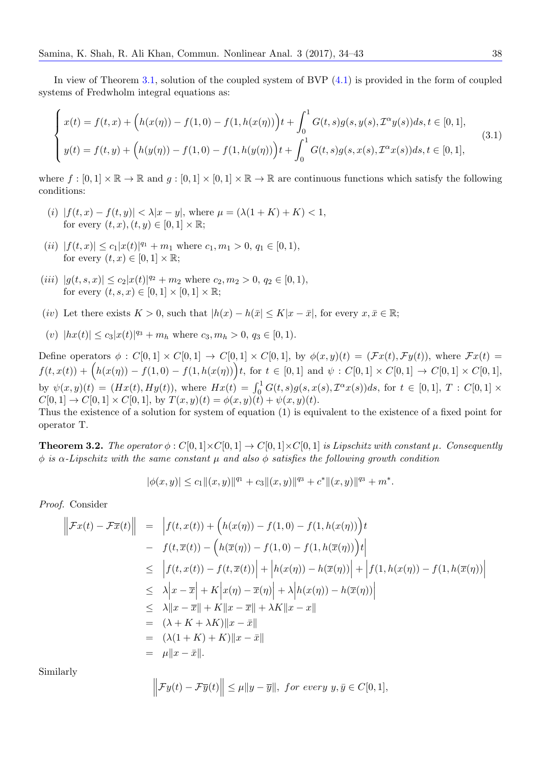In view of Theorem 3.1, solution of the coupled system of BVP (4.1) is provided in the form of coupled systems of Fredwholm integral equations as:

$$
\begin{cases}\nx(t) = f(t, x) + \left(h(x(\eta)) - f(1, 0) - f(1, h(x(\eta))\right)t + \int_0^1 G(t, s)g(s, y(s), \mathcal{I}^\alpha y(s))ds, t \in [0, 1], \\
y(t) = f(t, y) + \left(h(y(\eta)) - f(1, 0) - f(1, h(y(\eta))\right)t + \int_0^1 G(t, s)g(s, x(s), \mathcal{I}^\alpha x(s))ds, t \in [0, 1],\n\end{cases}
$$
\n(3.1)

where  $f : [0,1] \times \mathbb{R} \to \mathbb{R}$  and  $g : [0,1] \times [0,1] \times \mathbb{R} \to \mathbb{R}$  are continuous functions which satisfy the following conditions:

- $|f(t, x) f(t, y)| < \lambda |x y|$ , where  $\mu = (\lambda(1 + K) + K) < 1$ , for every  $(t, x)$ ,  $(t, y) \in [0, 1] \times \mathbb{R}$ ;
- $(iii)$   $|f(t,x)| \le c_1 |x(t)|^{q_1} + m_1$  where  $c_1, m_1 > 0, q_1 \in [0,1),$ for every  $(t, x) \in [0, 1] \times \mathbb{R}$ ;
- $(iii) |g(t, s, x)| \leq c_2 |x(t)|^{q_2} + m_2$  where  $c_2, m_2 > 0, q_2 \in [0, 1),$ for every  $(t, s, x) \in [0, 1] \times [0, 1] \times \mathbb{R}$ ;
- (*iv*) Let there exists  $K > 0$ , such that  $|h(x) h(\bar{x}| \le K|x \bar{x}|$ , for every  $x, \bar{x} \in \mathbb{R}$ ;
- $(v)$   $|h(x(t)| \le c_3 |x(t)|^{q_3} + m_h$  where  $c_3, m_h > 0, q_3 \in [0, 1)$ *.*

Define operators  $\phi: C[0,1] \times C[0,1] \rightarrow C[0,1] \times C[0,1]$ , by  $\phi(x,y)(t) = (\mathcal{F}x(t), \mathcal{F}y(t))$ , where  $\mathcal{F}x(t) =$  $f(t, x(t)) + (h(x(\eta)) - f(1,0) - f(1,h(x(\eta)))t$ , for  $t \in [0,1]$  and  $\psi : C[0,1] \times C[0,1] \rightarrow C[0,1] \times C[0,1],$ by  $\psi(x, y)(t) = (Hx(t), Hy(t)),$  where  $Hx(t) = \int_0^1 G(t, s)g(s, x(s), \mathcal{I}^{\alpha}x(s))ds$ , for  $t \in [0, 1], T : C[0, 1] \times$  $C[0, 1] \rightarrow C[0, 1] \times C[0, 1]$ , by  $T(x, y)(t) = \phi(x, y)(t) + \psi(x, y)(t)$ .

Thus the existence of a solution for system of equation (1) is equivalent to the existence of a fixed point for operator T.

**Theorem 3.2.** The operator  $\phi: C[0,1] \times C[0,1] \to C[0,1] \times C[0,1]$  is Lipschitz with constant  $\mu$ . Consequently *ϕ is α-Lipschitz with the same constant µ and also ϕ satisfies the following growth condition*

$$
|\phi(x,y)| \leq c_1 \|(x,y)\|^{q_1} + c_3 \|(x,y)\|^{q_3} + c^* \|(x,y)\|^{q_3} + m^*.
$$

*Proof.* Consider

$$
\begin{aligned}\n\left\| \mathcal{F}x(t) - \mathcal{F}\overline{x}(t) \right\| &= \left\| f(t, x(t)) + \left( h(x(\eta)) - f(1, 0) - f(1, h(x(\eta)) \right) t \right. \\
&\quad - f(t, \overline{x}(t)) - \left( h(\overline{x}(\eta)) - f(1, 0) - f(1, h(\overline{x}(\eta)) \right) t \right| \\
&\leq \left| f(t, x(t)) - f(t, \overline{x}(t)) \right| + \left| h(x(\eta)) - h(\overline{x}(\eta)) \right| + \left| f(1, h(x(\eta)) - f(1, h(\overline{x}(\eta)) \right| \\
&\leq \lambda \left| x - \overline{x} \right| + K \left| x(\eta) - \overline{x}(\eta) \right| + \lambda \left| h(x(\eta)) - h(\overline{x}(\eta)) \right| \\
&\leq \lambda \left\| x - \overline{x} \right\| + K \left\| x - \overline{x} \right\| + \lambda K \left\| x - x \right\| \\
&= (\lambda + K + \lambda K) \left\| x - \overline{x} \right\| \\
&= (\lambda(1 + K) + K) \left\| x - \overline{x} \right\| \\
&= \mu \left\| x - \overline{x} \right\|. \n\end{aligned}
$$

Similarly

$$
\left\|\mathcal{F}y(t)-\mathcal{F}\overline{y}(t)\right\| \le \mu\|y-\overline{y}\|, \text{ for every } y,\overline{y} \in C[0,1],
$$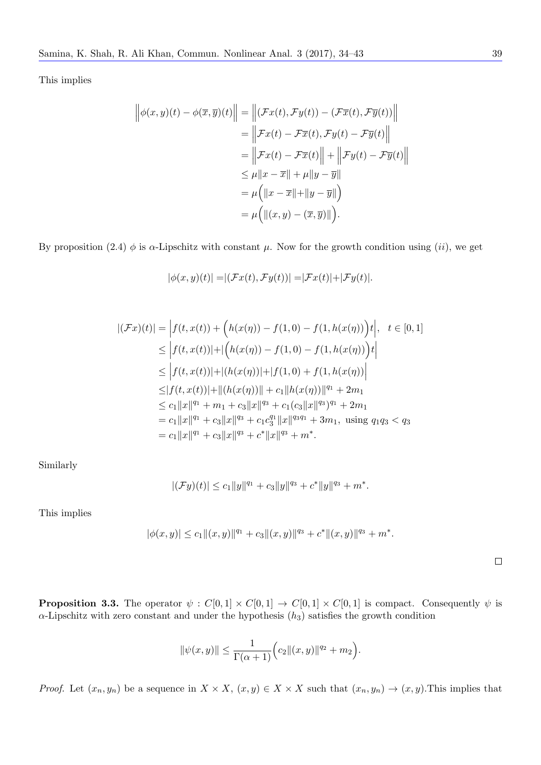This implies

$$
\left\| \phi(x, y)(t) - \phi(\overline{x}, \overline{y})(t) \right\| = \left\| (\mathcal{F}x(t), \mathcal{F}y(t)) - (\mathcal{F}\overline{x}(t), \mathcal{F}\overline{y}(t)) \right\|
$$
  
\n
$$
= \left\| \mathcal{F}x(t) - \mathcal{F}\overline{x}(t), \mathcal{F}y(t) - \mathcal{F}\overline{y}(t) \right\|
$$
  
\n
$$
= \left\| \mathcal{F}x(t) - \mathcal{F}\overline{x}(t) \right\| + \left\| \mathcal{F}y(t) - \mathcal{F}\overline{y}(t) \right\|
$$
  
\n
$$
\leq \mu \|x - \overline{x}\| + \mu \|y - \overline{y}\|
$$
  
\n
$$
= \mu \left( \|x - \overline{x}\| + \|y - \overline{y}\| \right)
$$
  
\n
$$
= \mu \left( \|(x, y) - (\overline{x}, \overline{y})\| \right).
$$

By proposition (2.4)  $\phi$  is  $\alpha$ -Lipschitz with constant  $\mu$ . Now for the growth condition using (*ii*), we get

$$
|\phi(x,y)(t)| = |(\mathcal{F}x(t), \mathcal{F}y(t))| = |\mathcal{F}x(t)| + |\mathcal{F}y(t)|.
$$

$$
|(\mathcal{F}x)(t)| = |f(t, x(t)) + (h(x(\eta)) - f(1, 0) - f(1, h(x(\eta)))t|, t \in [0, 1]
$$
  
\n
$$
\leq |f(t, x(t))| + |(h(x(\eta)) - f(1, 0) - f(1, h(x(\eta)))t|
$$
  
\n
$$
\leq |f(t, x(t))| + |(h(x(\eta))| + |f(1, 0) + f(1, h(x(\eta)))|
$$
  
\n
$$
\leq |f(t, x(t))| + ||(h(x(\eta))|| + c_1||h(x(\eta))||^{q_1} + 2m_1
$$
  
\n
$$
\leq c_1 ||x||^{q_1} + m_1 + c_3 ||x||^{q_3} + c_1 (c_3 ||x||^{q_3})^{q_1} + 2m_1
$$
  
\n
$$
= c_1 ||x||^{q_1} + c_3 ||x||^{q_3} + c_1 c_3^{q_1} ||x||^{q_3 q_1} + 3m_1, \text{ using } q_1 q_3 < q_3
$$
  
\n
$$
= c_1 ||x||^{q_1} + c_3 ||x||^{q_3} + c^* ||x||^{q_3} + m^*.
$$

Similarly

$$
|(\mathcal{F}y)(t)| \leq c_1 \|y\|^{q_1} + c_3 \|y\|^{q_3} + c^* \|y\|^{q_3} + m^*.
$$

This implies

$$
|\phi(x,y)| \leq c_1 \|(x,y)\|^{q_1} + c_3 \|(x,y)\|^{q_3} + c^* \|(x,y)\|^{q_3} + m^*.
$$

**Proposition 3.3.** The operator  $\psi$  :  $C[0,1] \times C[0,1] \rightarrow C[0,1] \times C[0,1]$  is compact. Consequently  $\psi$  is  $\alpha$ -Lipschitz with zero constant and under the hypothesis  $(h_3)$  satisfies the growth condition

$$
\|\psi(x,y)\| \le \frac{1}{\Gamma(\alpha+1)} \Big(c_2\|(x,y)\|^{q_2} + m_2\Big).
$$

*Proof.* Let  $(x_n, y_n)$  be a sequence in  $X \times X$ ,  $(x, y) \in X \times X$  such that  $(x_n, y_n) \to (x, y)$ . This implies that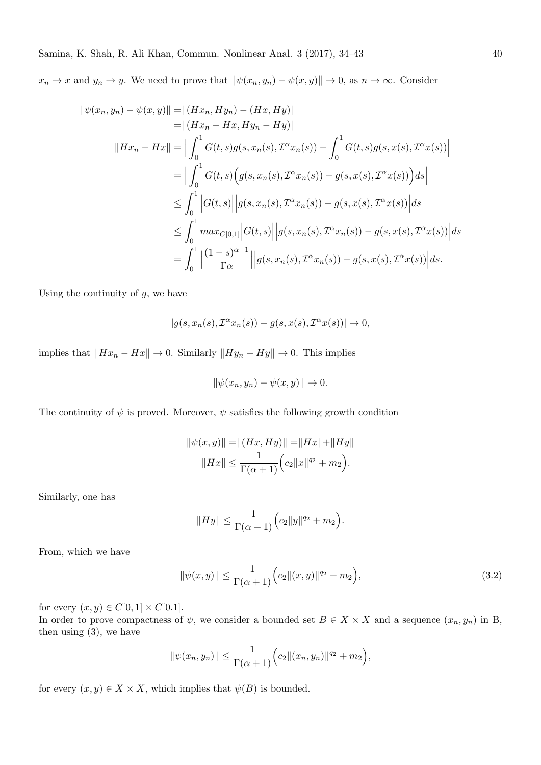$x_n \to x$  and  $y_n \to y$ . We need to prove that  $\|\psi(x_n, y_n) - \psi(x, y)\| \to 0$ , as  $n \to \infty$ . Consider

$$
\|\psi(x_n, y_n) - \psi(x, y)\| = \| (Hx_n, Hy_n) - (Hx, Hy)\| \n= \| (Hx_n - Hx, Hy_n - Hy)\| \n\|Hx_n - Hx\| = \left| \int_0^1 G(t, s) g(s, x_n(s), \mathcal{I}^{\alpha} x_n(s)) - \int_0^1 G(t, s) g(s, x(s), \mathcal{I}^{\alpha} x(s)) \right| \n= \left| \int_0^1 G(t, s) \Big( g(s, x_n(s), \mathcal{I}^{\alpha} x_n(s)) - g(s, x(s), \mathcal{I}^{\alpha} x(s)) \Big) ds \right| \n\leq \int_0^1 |G(t, s)| |g(s, x_n(s), \mathcal{I}^{\alpha} x_n(s)) - g(s, x(s), \mathcal{I}^{\alpha} x(s))| ds \n\leq \int_0^1 \max_{C[0, 1]} |G(t, s)| |g(s, x_n(s), \mathcal{I}^{\alpha} x_n(s)) - g(s, x(s), \mathcal{I}^{\alpha} x(s))| ds \n= \int_0^1 \left| \frac{(1 - s)^{\alpha - 1}}{\Gamma \alpha} \right| |g(s, x_n(s), \mathcal{I}^{\alpha} x_n(s)) - g(s, x(s), \mathcal{I}^{\alpha} x(s)) \right| ds.
$$

Using the continuity of  $g$ , we have

$$
|g(s, x_n(s), \mathcal{I}^{\alpha} x_n(s)) - g(s, x(s), \mathcal{I}^{\alpha} x(s))| \to 0,
$$

implies that  $||Hx_n - Hx|| \to 0$ . Similarly  $||Hy_n - Hy|| \to 0$ . This implies

$$
\|\psi(x_n, y_n) - \psi(x, y)\| \to 0.
$$

The continuity of  $\psi$  is proved. Moreover,  $\psi$  satisfies the following growth condition

$$
\|\psi(x,y)\| = \|(Hx, Hy)\| = \|Hx\| + \|Hy\|
$$
  

$$
\|Hx\| \le \frac{1}{\Gamma(\alpha+1)} \Big(c_2 \|x\|^{q_2} + m_2\Big).
$$

Similarly, one has

$$
||Hy|| \leq \frac{1}{\Gamma(\alpha+1)} \Big( c_2 ||y||^{q_2} + m_2 \Big).
$$

From, which we have

$$
\|\psi(x,y)\| \le \frac{1}{\Gamma(\alpha+1)} \Big(c_2 \|(x,y)\|^{q_2} + m_2\Big),\tag{3.2}
$$

for every  $(x, y) \in C[0, 1] \times C[0.1].$ 

In order to prove compactness of 
$$
\psi
$$
, we consider a bounded set  $B \in X \times X$  and a sequence  $(x_n, y_n)$  in B, then using (3), we have

$$
\|\psi(x_n, y_n)\| \le \frac{1}{\Gamma(\alpha+1)} \Big(c_2 \|(x_n, y_n)\|^{q_2} + m_2\Big),
$$

for every  $(x, y) \in X \times X$ , which implies that  $\psi(B)$  is bounded.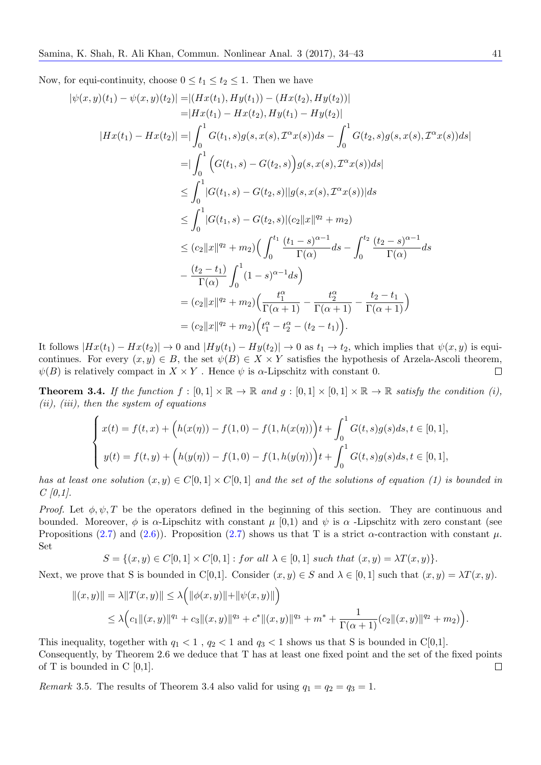Now, for equi-continuity, choose  $0 \le t_1 \le t_2 \le 1$ . Then we have

$$
|\psi(x,y)(t_1) - \psi(x,y)(t_2)| = |(Hx(t_1), Hy(t_1)) - (Hx(t_2), Hy(t_2))|
$$
  
\n
$$
= |Hx(t_1) - Hx(t_2), Hy(t_1) - Hy(t_2)|
$$
  
\n
$$
|Hx(t_1) - Hx(t_2)| = |\int_0^1 G(t_1, s)g(s, x(s), \mathcal{T}^{\alpha}x(s))ds - \int_0^1 G(t_2, s)g(s, x(s), \mathcal{T}^{\alpha}x(s))ds|
$$
  
\n
$$
= |\int_0^1 \left( G(t_1, s) - G(t_2, s) \right)g(s, x(s), \mathcal{T}^{\alpha}x(s))ds|
$$
  
\n
$$
\leq \int_0^1 |G(t_1, s) - G(t_2, s)||g(s, x(s), \mathcal{T}^{\alpha}x(s))|ds
$$
  
\n
$$
\leq \int_0^1 |G(t_1, s) - G(t_2, s)||c_2||x||^{q_2} + m_2)
$$
  
\n
$$
\leq (c_2||x||^{q_2} + m_2) \Big( \int_0^{t_1} \frac{(t_1 - s)^{\alpha - 1}}{\Gamma(\alpha)} ds - \int_0^{t_2} \frac{(t_2 - s)^{\alpha - 1}}{\Gamma(\alpha)} ds
$$
  
\n
$$
- \frac{(t_2 - t_1)}{\Gamma(\alpha)} \int_0^1 (1 - s)^{\alpha - 1} ds \Big)
$$
  
\n
$$
= (c_2||x||^{q_2} + m_2) \Big( \frac{t_1^{\alpha}}{\Gamma(\alpha + 1)} - \frac{t_2^{\alpha}}{\Gamma(\alpha + 1)} - \frac{t_2 - t_1}{\Gamma(\alpha + 1)} \Big)
$$
  
\n
$$
= (c_2||x||^{q_2} + m_2) \Big( t_1^{\alpha} - t_2^{\alpha} - (t_2 - t_1) \Big).
$$

It follows  $|Hx(t_1) - Hx(t_2)| \to 0$  and  $|Hy(t_1) - Hy(t_2)| \to 0$  as  $t_1 \to t_2$ , which implies that  $\psi(x, y)$  is equicontinues. For every  $(x, y) \in B$ , the set  $\psi(B) \in X \times Y$  satisfies the hypothesis of Arzela-Ascoli theorem,  $\psi(B)$  is relatively compact in  $X \times Y$ . Hence  $\psi$  is *α*-Lipschitz with constant 0.  $\Box$ 

**Theorem 3.4.** If the function  $f : [0,1] \times \mathbb{R} \to \mathbb{R}$  and  $g : [0,1] \times [0,1] \times \mathbb{R} \to \mathbb{R}$  satisfy the condition (i), *(ii), (iii), then the system of equations*

$$
\begin{cases}\nx(t) = f(t, x) + \left(h(x(\eta)) - f(1, 0) - f(1, h(x(\eta))\right)t + \int_0^1 G(t, s)g(s)ds, t \in [0, 1], \\
y(t) = f(t, y) + \left(h(y(\eta)) - f(1, 0) - f(1, h(y(\eta))\right)t + \int_0^1 G(t, s)g(s)ds, t \in [0, 1],\n\end{cases}
$$

*has at least one solution*  $(x, y) \in C[0, 1] \times C[0, 1]$  and the set of the solutions of equation (1) is bounded in *C [0,1].*

*Proof.* Let  $\phi, \psi, T$  be the operators defined in the beginning of this section. They are continuous and bounded. Moreover,  $\phi$  is  $\alpha$ -Lipschitz with constant  $\mu$  [0,1) and  $\psi$  is  $\alpha$ -Lipschitz with zero constant (see Propositions (2.7) and (2.6)). Proposition (2.7) shows us that T is a strict  $\alpha$ -contraction with constant  $\mu$ . Set

$$
S = \{(x, y) \in C[0, 1] \times C[0, 1] : for all \lambda \in [0, 1] such that (x, y) = \lambda T(x, y)\}.
$$

Next, we prov[e th](#page-2-0)at S i[s bo](#page-2-1)unded in C[0,1]. [Co](#page-2-0)nsider  $(x, y) \in S$  and  $\lambda \in [0, 1]$  such that  $(x, y) = \lambda T(x, y)$ .

$$
||(x,y)|| = \lambda ||T(x,y)|| \leq \lambda \Big( ||\phi(x,y)|| + ||\psi(x,y)|| \Big) \leq \lambda \Big( c_1 ||(x,y)||^{q_1} + c_3 ||(x,y)||^{q_3} + c^* ||(x,y)||^{q_3} + m^* + \frac{1}{\Gamma(\alpha+1)} (c_2 ||(x,y)||^{q_2} + m_2) \Big).
$$

This inequality, together with  $q_1 < 1$ ,  $q_2 < 1$  and  $q_3 < 1$  shows us that S is bounded in C[0,1]. Consequently, by Theorem 2.6 we deduce that T has at least one fixed point and the set of the fixed points of  $T$  is bounded in  $C$  [0,1].  $\Box$ 

*Remark* 3.5. The results of Theorem 3.4 also valid for using  $q_1 = q_2 = q_3 = 1$ .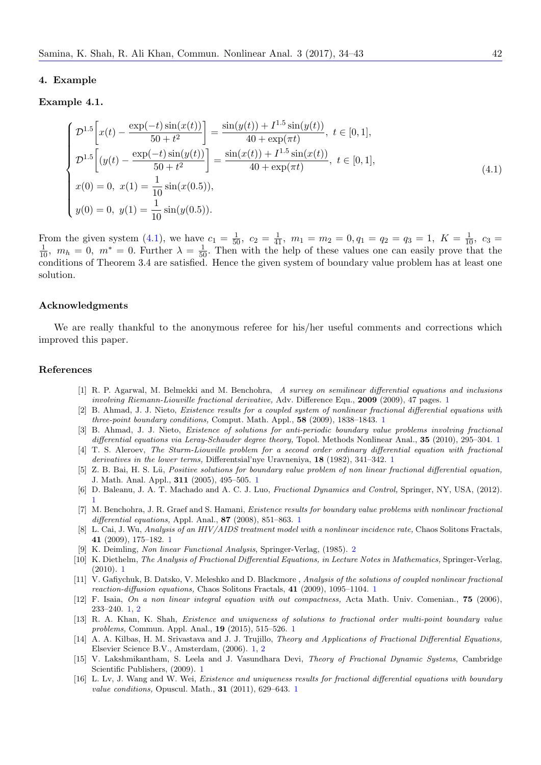#### **4. Example**

#### **Example 4.1.**

$$
\begin{cases}\n\mathcal{D}^{1.5}\left[x(t) - \frac{\exp(-t)\sin(x(t))}{50 + t^2}\right] = \frac{\sin(y(t)) + I^{1.5}\sin(y(t))}{40 + \exp(\pi t)}, \ t \in [0, 1], \\
\mathcal{D}^{1.5}\left[(y(t) - \frac{\exp(-t)\sin(y(t))}{50 + t^2}\right] = \frac{\sin(x(t)) + I^{1.5}\sin(x(t))}{40 + \exp(\pi t)}, \ t \in [0, 1], \\
x(0) = 0, \ x(1) = \frac{1}{10}\sin(x(0.5)), \\
y(0) = 0, \ y(1) = \frac{1}{10}\sin(y(0.5)).\n\end{cases} (4.1)
$$

<span id="page-8-16"></span>From the given system (4.1), we have  $c_1 = \frac{1}{50}$ ,  $c_2 = \frac{1}{41}$ ,  $m_1 = m_2 = 0$ ,  $q_1 = q_2 = q_3 = 1$ ,  $K = \frac{1}{10}$ ,  $c_3 = \frac{1}{10}$ ,  $m_h = 0$ ,  $m^* = 0$ . Further  $\lambda = \frac{1}{50}$ . Then with the help of these values one can easil conditions of Theorem 3.4 are satisfied. Hence the given system of boundary value problem has at least one solution.

### **Acknowledgments**

We are really thankful to the anonymous referee for his/her useful comments and corrections which improved this paper.

#### **References**

- [1] R. P. Agarwal, M. Belmekki and M. Benchohra, *A survey on semilinear differential equations and inclusions involving Riemann-Liouville fractional derivative,* Adv. Difference Equ., **2009** (2009), 47 pages. 1
- [2] B. Ahmad, J. J. Nieto, *Existence results for a coupled system of nonlinear fractional differential equations with three-point boundary conditions,* Comput. Math. Appl., **58** (2009), 1838–1843. 1
- <span id="page-8-8"></span>[3] B. Ahmad, J. J. Nieto, *Existence of solutions for anti-periodic boundary value problems involving fractional differential equations via Leray-Schauder degree theory,* Topol. Methods Nonlinear Anal., **35** (2010), 295–304. 1
- <span id="page-8-6"></span>[4] T. S. Aleroev, *The Sturm-Liouville problem for a second order ordinary differential equation [w](#page-0-0)ith fractional derivatives in the lower terms,* Differentsial'nye Uravneniya, **18** (1982), 341–342. 1
- <span id="page-8-9"></span>[5] Z. B. Bai, H. S. L¨*u*, *Positive solutions for boundary value problem of non line[ar](#page-0-0) fractional differential equation,* J. Math. Anal. Appl., **311** (2005), 495–505. 1
- <span id="page-8-0"></span>[6] D. Baleanu, J. A. T. Machado and A. C. J. Luo, *Fractional Dynamics and Control,* Springer, NY, USA, (201[2\).](#page-0-0) 1
- <span id="page-8-1"></span>[7] M. Benchohra, J. R. Graef and S. Hamani, *Existence results for boundary value pro[b](#page-0-0)lems with nonlinear fractional differential equations,* Appl. Anal., **87** (2008), 851–863. 1
- <span id="page-8-2"></span>[8] L. Cai, J. Wu, *Analysis of an HIV/AIDS trea[tm](#page-0-0)ent model with a nonlinear incidence rate,* Chaos Solitons Fractals, **41** (2009), 175–182. 1
- <span id="page-8-10"></span>[9] [K](#page-0-0). Deimling, *Non linear Functional Analysis*, Springer-Verlag, (1985). 2
- [10] K. Diethelm, *The Analysis of Fractional Differential Equ[at](#page-0-0)ions, in Lecture Notes in Mathematics,* Springer-Verlag, (2010). 1
- <span id="page-8-7"></span>[11] V. Gafiychuk, B. Datsko, V. Meleshko and D. Blackmore , *Analysis of the solutions of coupled nonlinear fractional reaction-diffusion eq[ua](#page-0-0)tions,* Chaos Solitons Fractals, **41** (2009), 1095–1104. 1
- <span id="page-8-14"></span><span id="page-8-3"></span>[12] F. Isaia, *On a non linear integral equation with out compactness,* [Act](#page-2-2)a Math. Univ. Comenian., **75** (2006), 233–240. 1, 2
- <span id="page-8-11"></span>[13] R. A. [Kh](#page-0-0)an, K. Shah, *Existence and uniqueness of solutions to fractional order multi-point boundary value problems,* Commun. Appl. Anal., **19** (2015), 515–526. 1
- <span id="page-8-15"></span>[14] A. A. Kilbas, H. M. Srivastava and J. J. Trujillo, *Theory and Applications [of](#page-0-0) Fractional Differential Equations,* Elsevier Science B.V., Amsterdam, (2006). 1, 2
- <span id="page-8-12"></span>[15] V. Laksh[m](#page-0-0)i[ka](#page-2-2)ntham, S. Leela and J. Vasundhara Devi, *Theory of Fractional Dynamic Systems*, Cambridge Scientific Publishers, (2009). 1
- <span id="page-8-13"></span><span id="page-8-5"></span><span id="page-8-4"></span>[16] L. Lv, J. Wang and W. Wei, *Existence and uniquenes[s r](#page-0-0)esults for fractional differential equations with boundary value conditions,* Opuscul. Math., **31** (2011[\),](#page-0-0) [62](#page-2-2)9–643. 1